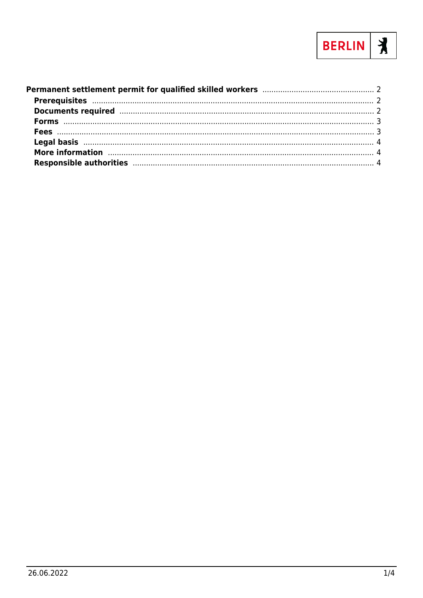

| More information manufactured and the contract of the contract of the contract of the contract of the contract of the contract of the contract of the contract of the contract of the contract of the contract of the contract |  |
|--------------------------------------------------------------------------------------------------------------------------------------------------------------------------------------------------------------------------------|--|
|                                                                                                                                                                                                                                |  |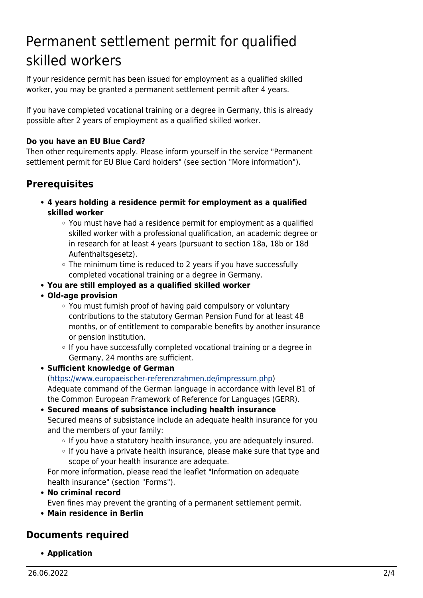# <span id="page-1-0"></span>Permanent settlement permit for qualified skilled workers

If your residence permit has been issued for employment as a qualified skilled worker, you may be granted a permanent settlement permit after 4 years.

If you have completed vocational training or a degree in Germany, this is already possible after 2 years of employment as a qualified skilled worker.

### **Do you have an EU Blue Card?**

Then other requirements apply. Please inform yourself in the service "Permanent settlement permit for EU Blue Card holders" (see section "More information").

# <span id="page-1-1"></span>**Prerequisites**

- **4 years holding a residence permit for employment as a qualified skilled worker**
	- $\circ$  You must have had a residence permit for employment as a qualified skilled worker with a professional qualification, an academic degree or in research for at least 4 years (pursuant to section 18a, 18b or 18d Aufenthaltsgesetz).
	- $\circ$  The minimum time is reduced to 2 years if you have successfully completed vocational training or a degree in Germany.
- **You are still employed as a qualified skilled worker**
- **Old-age provision**
	- You must furnish proof of having paid compulsory or voluntary contributions to the statutory German Pension Fund for at least 48 months, or of entitlement to comparable benefits by another insurance or pension institution.
	- o If you have successfully completed vocational training or a degree in Germany, 24 months are sufficient.

#### **Sufficient knowledge of German**

([https://www.europaeischer-referenzrahmen.de/impressum.php\)](https://www.europaeischer-referenzrahmen.de/impressum.php) Adequate command of the German language in accordance with level B1 of the Common European Framework of Reference for Languages (GERR).

#### **Secured means of subsistance including health insurance**

Secured means of subsistance include an adequate health insurance for you and the members of your family:

- o If you have a statutory health insurance, you are adequately insured.
- $\circ$  If you have a private health insurance, please make sure that type and scope of your health insurance are adequate.

For more information, please read the leaflet "Information on adequate health insurance" (section "Forms").

**No criminal record**

Even fines may prevent the granting of a permanent settlement permit.

**Main residence in Berlin**

## <span id="page-1-2"></span>**Documents required**

**Application**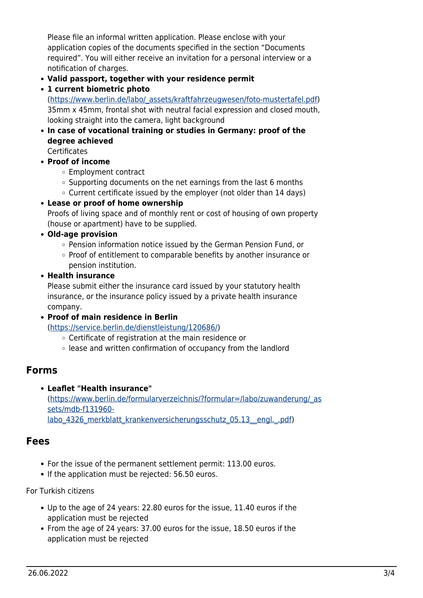Please file an informal written application. Please enclose with your application copies of the documents specified in the section "Documents required". You will either receive an invitation for a personal interview or a notification of charges.

- **Valid passport, together with your residence permit**
- **1 current biometric photo**

([https://www.berlin.de/labo/\\_assets/kraftfahrzeugwesen/foto-mustertafel.pdf\)](https://www.berlin.de/labo/_assets/kraftfahrzeugwesen/foto-mustertafel.pdf) 35mm x 45mm, frontal shot with neutral facial expression and closed mouth, looking straight into the camera, light background

- **In case of vocational training or studies in Germany: proof of the degree achieved**
	- **Certificates**
- **Proof of income**
	- Employment contract
	- $\circ$  Supporting documents on the net earnings from the last 6 months
	- $\circ$  Current certificate issued by the employer (not older than 14 days)
- **Lease or proof of home ownership**

Proofs of living space and of monthly rent or cost of housing of own property (house or apartment) have to be supplied.

- **Old-age provision**
	- o Pension information notice issued by the German Pension Fund, or
	- Proof of entitlement to comparable benefits by another insurance or pension institution.
- **Health insurance**

Please submit either the insurance card issued by your statutory health insurance, or the insurance policy issued by a private health insurance company.

**Proof of main residence in Berlin**

(<https://service.berlin.de/dienstleistung/120686/>)

- Certificate of registration at the main residence or
- $\circ$  lease and written confirmation of occupancy from the landlord

## <span id="page-2-0"></span>**Forms**

**Leaflet "Health insurance"** ([https://www.berlin.de/formularverzeichnis/?formular=/labo/zuwanderung/\\_as](https://www.berlin.de/formularverzeichnis/?formular=/labo/zuwanderung/_assets/mdb-f131960-labo_4326_merkblatt_krankenversicherungsschutz_05.13__engl._.pdf) [sets/mdb-f131960](https://www.berlin.de/formularverzeichnis/?formular=/labo/zuwanderung/_assets/mdb-f131960-labo_4326_merkblatt_krankenversicherungsschutz_05.13__engl._.pdf) labo 4326 merkblatt krankenversicherungsschutz 05.13\_engl. .pdf)

## <span id="page-2-1"></span>**Fees**

- For the issue of the permanent settlement permit: 113.00 euros.
- If the application must be rejected: 56.50 euros.

#### For Turkish citizens

- Up to the age of 24 years: 22.80 euros for the issue, 11.40 euros if the application must be rejected
- From the age of 24 years: 37.00 euros for the issue, 18.50 euros if the application must be rejected